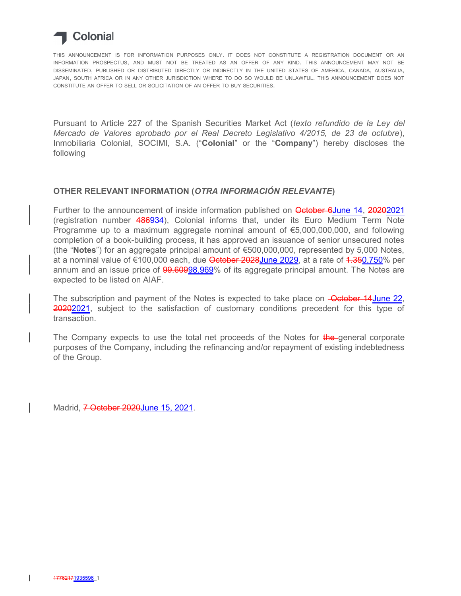

THIS ANNOUNCEMENT IS FOR INFORMATION PURPOSES ONLY. IT DOES NOT CONSTITUTE A REGISTRATION DOCUMENT OR AN INFORMATION PROSPECTUS, AND MUST NOT BE TREATED AS AN OFFER OF ANY KIND. THIS ANNOUNCEMENT MAY NOT BE DISSEMINATED, PUBLISHED OR DISTRIBUTED DIRECTLY OR INDIRECTLY IN THE UNITED STATES OF AMERICA, CANADA, AUSTRALIA, JAPAN, SOUTH AFRICA OR IN ANY OTHER JURISDICTION WHERE TO DO SO WOULD BE UNLAWFUL. THIS ANNOUNCEMENT DOES NOT CONSTITUTE AN OFFER TO SELL OR SOLICITATION OF AN OFFER TO BUY SECURITIES.

Pursuant to Article 227 of the Spanish Securities Market Act (*texto refundido de la Ley del Mercado de Valores aprobado por el Real Decreto Legislativo 4/2015, de 23 de octubre*), Inmobiliaria Colonial, SOCIMI, S.A. ("**Colonial**" or the "**Company**") hereby discloses the following

## **OTHER RELEVANT INFORMATION (***OTRA INFORMACIÓN RELEVANTE***)**

Further to the announcement of inside information published on **October 6June 14, 20202021** (registration number 486934), Colonial informs that, under its Euro Medium Term Note Programme up to a maximum aggregate nominal amount of  $E$ 5,000,000,000, and following completion of a book-building process, it has approved an issuance of senior unsecured notes (the "**Notes**") for an aggregate principal amount of €500,000,000, represented by 5,000 Notes, at a nominal value of €100,000 each, due October 2028June 2029, at a rate of 4.350.750% per annum and an issue price of  $99.60998.969%$  of its aggregate principal amount. The Notes are expected to be listed on AIAF.

The subscription and payment of the Notes is expected to take place on **-October 14June 22**, 20202021, subject to the satisfaction of customary conditions precedent for this type of transaction.

The Company expects to use the total net proceeds of the Notes for the general corporate purposes of the Company, including the refinancing and/or repayment of existing indebtedness of the Group.

Madrid, 7 October 2020 June 15, 2021.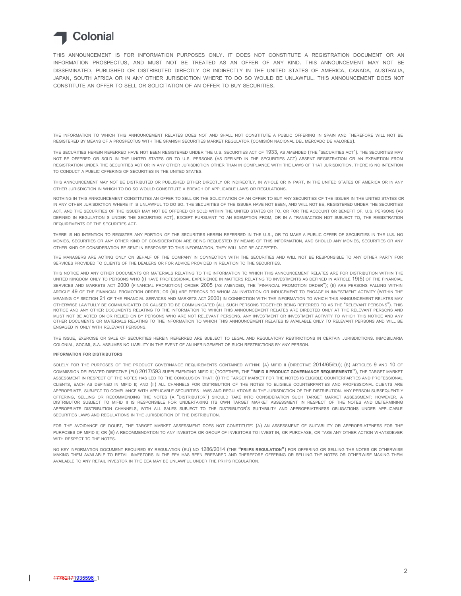## **Colonial**

THIS ANNOUNCEMENT IS FOR INFORMATION PURPOSES ONLY. IT DOES NOT CONSTITUTE A REGISTRATION DOCUMENT OR AN INFORMATION PROSPECTUS, AND MUST NOT BE TREATED AS AN OFFER OF ANY KIND. THIS ANNOUNCEMENT MAY NOT BE DISSEMINATED, PUBLISHED OR DISTRIBUTED DIRECTLY OR INDIRECTLY IN THE UNITED STATES OF AMERICA, CANADA, AUSTRALIA, JAPAN, SOUTH AFRICA OR IN ANY OTHER JURISDICTION WHERE TO DO SO WOULD BE UNLAWFUL. THIS ANNOUNCEMENT DOES NOT CONSTITUTE AN OFFER TO SELL OR SOLICITATION OF AN OFFER TO BUY SECURITIES.

THE INFORMATION TO WHICH THIS ANNOUNCEMENT RELATES DOES NOT AND SHALL NOT CONSTITUTE A PUBLIC OFFERING IN SPAIN AND THEREFORE WILL NOT BE REGISTERED BY MEANS OF A PROSPECTUS WITH THE SPANISH SECURITIES MARKET REGULATOR (COMISIÓN NACIONAL DEL MERCADO DE VALORES).

THE SECURITIES HEREIN REFERRED HAVE NOT BEEN REGISTERED UNDER THE U.S. SECURITIES ACT OF 1933, AS AMENDED (THE "SECURITIES ACT"). THE SECURITIES MAY NOT BE OFFERED OR SOLD IN THE UNITED STATES OR TO U.S. PERSONS (AS DEFINED IN THE SECURITIES ACT) ABSENT REGISTRATION OR AN EXEMPTION FROM REGISTRATION UNDER THE SECURITIES ACT OR IN ANY OTHER JURISDICTION OTHER THAN IN COMPLIANCE WITH THE LAWS OF THAT JURISDICTION. THERE IS NO INTENTION TO CONDUCT A PUBLIC OFFERING OF SECURITIES IN THE UNITED STATES.

THIS ANNOUNCEMENT MAY NOT BE DISTRIBUTED OR PUBLISHED EITHER DIRECTLY OR INDIRECTLY, IN WHOLE OR IN PART, IN THE UNITED STATES OF AMERICA OR IN ANY OTHER JURISDICTION IN WHICH TO DO SO WOULD CONSTITUTE A BREACH OF APPLICABLE LAWS OR REGULATIONS.

NOTHING IN THIS ANNOUNCEMENT CONSTITUTES AN OFFER TO SELL OR THE SOLICITATION OF AN OFFER TO BUY ANY SECURITIES OF THE ISSUER IN THE UNITED STATES OR IN ANY OTHER JURISDICTION WHERE IT IS UNLAWFUL TO DO SO. THE SECURITIES OF THE ISSUER HAVE NOT BEEN, AND WILL NOT BE, REGISTERED UNDER THE SECURITIES ACT, AND THE SECURITIES OF THE ISSUER MAY NOT BE OFFERED OR SOLD WITHIN THE UNITED STATES OR TO, OR FOR THE ACCOUNT OR BENEFIT OF, U.S. PERSONS (AS DEFINED IN REGULATION S UNDER THE SECURITIES ACT), EXCEPT PURSUANT TO AN EXEMPTION FROM, OR IN A TRANSACTION NOT SUBJECT TO, THE REGISTRATION REQUIREMENTS OF THE SECURITIES ACT.

THERE IS NO INTENTION TO REGISTER ANY PORTION OF THE SECURITIES HEREIN REFERRED IN THE U.S., OR TO MAKE A PUBLIC OFFER OF SECURITIES IN THE U.S. NO MONIES, SECURITIES OR ANY OTHER KIND OF CONSIDERATION ARE BEING REQUESTED BY MEANS OF THIS INFORMATION, AND SHOULD ANY MONIES, SECURITIES OR ANY OTHER KIND OF CONSIDERATION BE SENT IN RESPONSE TO THIS INFORMATION, THEY WILL NOT BE ACCEPTED.

THE MANAGERS ARE ACTING ONLY ON BEHALF OF THE COMPANY IN CONNECTION WITH THE SECURITIES AND WILL NOT BE RESPONSIBLE TO ANY OTHER PARTY FOR SERVICES PROVIDED TO CLIENTS OF THE DEALERS OR FOR ADVICE PROVIDED IN RELATION TO THE SECURITIES.

THIS NOTICE AND ANY OTHER DOCUMENTS OR MATERIALS RELATING TO THE INFORMATION TO WHICH THIS ANNOUNCEMENT RELATES ARE FOR DISTRIBUTION WITHIN THE UNITED KINGDOM ONLY TO PERSONS WHO (I) HAVE PROFESSIONAL EXPERIENCE IN MATTERS RELATING TO INVESTMENTS AS DEFINED IN ARTICLE 19(5) OF THE FINANCIAL SERVICES AND MARKETS ACT 2000 (FINANCIAL PROMOTION) ORDER 2005 (AS AMENDED, THE "FINANCIAL PROMOTION ORDER"); (II) ARE PERSONS FALLING WITHIN ARTICLE 49 OF THE FINANCIAL PROMOTION ORDER; OR (III) ARE PERSONS TO WHOM AN INVITATION OR INDUCEMENT TO ENGAGE IN INVESTMENT ACTIVITY (WITHIN THE MEANING OF SECTION 21 OF THE FINANCIAL SERVICES AND MARKETS ACT 2000) IN CONNECTION WITH THE INFORMATION TO WHICH THIS ANNOUNCEMENT RELATES MAY OTHERWISE LAWFULLY BE COMMUNICATED OR CAUSED TO BE COMMUNICATED (ALL SUCH PERSONS TOGETHER BEING REFERRED TO AS THE "RELEVANT PERSONS"). THIS NOTICE AND ANY OTHER DOCUMENTS RELATING TO THE INFORMATION TO WHICH THIS ANNOUNCEMENT RELATES ARE DIRECTED ONLY AT THE RELEVANT PERSONS AND MUST NOT BE ACTED ON OR RELIED ON BY PERSONS WHO ARE NOT RELEVANT PERSONS. ANY INVESTMENT OR INVESTMENT ACTIVITY TO WHICH THIS NOTICE AND ANY OTHER DOCUMENTS OR MATERIALS RELATING TO THE INFORMATION TO WHICH THIS ANNOUNCEMENT RELATES IS AVAILABLE ONLY TO RELEVANT PERSONS AND WILL BE ENGAGED IN ONLY WITH RELEVANT PERSONS.

THE ISSUE, EXERCISE OR SALE OF SECURITIES HEREIN REFERRED ARE SUBJECT TO LEGAL AND REGULATORY RESTRICTIONS IN CERTAIN JURISDICTIONS. INMOBILIARIA COLONIAL, SOCIMI, S.A. ASSUMES NO LIABILITY IN THE EVENT OF AN INFRINGEMENT OF SUCH RESTRICTIONS BY ANY PERSON.

## **INFORMATION FOR DISTRIBUTORS**

SOLELY FOR THE PURPOSES OF THE PRODUCT GOVERNANCE REQUIREMENTS CONTAINED WITHIN: (A) MIFID II (DIRECTIVE 2014/65/EU); (B) ARTICLES 9 AND 10 OF COMMISSION DELEGATED DIRECTIVE (EU) 2017/593 SUPPLEMENTING MIFID II; (TOGETHER, THE **"MIFID II PRODUCT GOVERNANCE REQUIREMENTS"**), THE TARGET MARKET ASSESSMENT IN RESPECT OF THE NOTES HAS LED TO THE CONCLUSION THAT: (I) THE TARGET MARKET FOR THE NOTES IS ELIGIBLE COUNTERPARTIES AND PROFESSIONAL CLIENTS, EACH AS DEFINED IN MIFID II; AND (II) ALL CHANNELS FOR DISTRIBUTION OF THE NOTES TO ELIGIBLE COUNTERPARTIES AND PROFESSIONAL CLIENTS ARE APPROPRIATE, SUBJECT TO COMPLIANCE WITH APPLICABLE SECURITIES LAWS AND REGULATIONS IN THE JURISDICTION OF THE DISTRIBUTION. ANY PERSON SUBSEQUENTLY OFFERING, SELLING OR RECOMMENDING THE NOTES (A "DISTRIBUTOR") SHOULD TAKE INTO CONSIDERATION SUCH TARGET MARKET ASSESSMENT; HOWEVER, A DISTRIBUTOR SUBJECT TO MIFID II IS RESPONSIBLE FOR UNDERTAKING ITS OWN TARGET MARKET ASSESSMENT IN RESPECT OF THE NOTES AND DETERMINING APPROPRIATE DISTRIBUTION CHANNELS, WITH ALL SALES SUBJECT TO THE DISTRIBUTOR'S SUITABILITY AND APPROPRIATENESS OBLIGATIONS UNDER APPLICABLE SECURITIES LAWS AND REGULATIONS IN THE JURISDICTION OF THE DISTRIBUTION.

FOR THE AVOIDANCE OF DOUBT, THE TARGET MARKET ASSESSMENT DOES NOT CONSTITUTE: (A) AN ASSESSMENT OF SUITABILITY OR APPROPRIATENESS FOR THE PURPOSES OF MIFID II; OR (B) A RECOMMENDATION TO ANY INVESTOR OR GROUP OF INVESTORS TO INVEST IN, OR PURCHASE, OR TAKE ANY OTHER ACTION WHATSOEVER WITH RESPECT TO THE NOTES.

NO KEY INFORMATION DOCUMENT REQUIRED BY REGULATION (EU) NO 1286/2014 (THE **"PRIIPS REGULATION"**) FOR OFFERING OR SELLING THE NOTES OR OTHERWISE MAKING THEM AVAILABLE TO RETAIL INVESTORS IN THE EEA HAS BEEN PREPARED AND THEREFORE OFFERING OR SELLING THE NOTES OR OTHERWISE MAKING THEM AVAILABLE TO ANY RETAIL INVESTOR IN THE EEA MAY BE UNLAWFUL UNDER THE PRIIPS REGULATION.